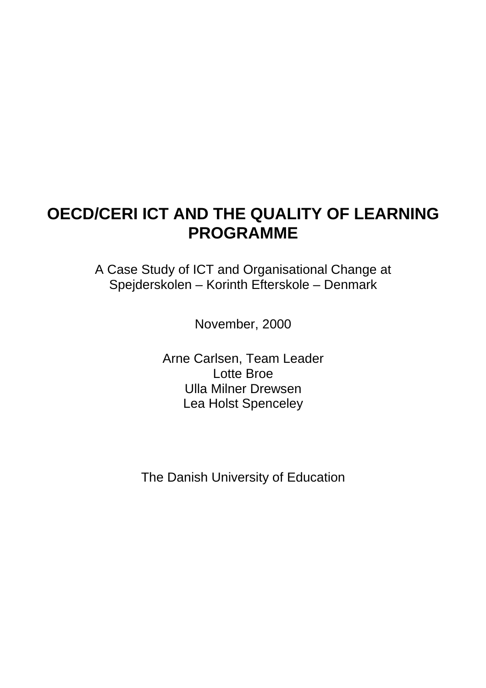## **OECD/CERI ICT AND THE QUALITY OF LEARNING PROGRAMME**

A Case Study of ICT and Organisational Change at Spejderskolen – Korinth Efterskole – Denmark

November, 2000

Arne Carlsen, Team Leader Lotte Broe Ulla Milner Drewsen Lea Holst Spenceley

The Danish University of Education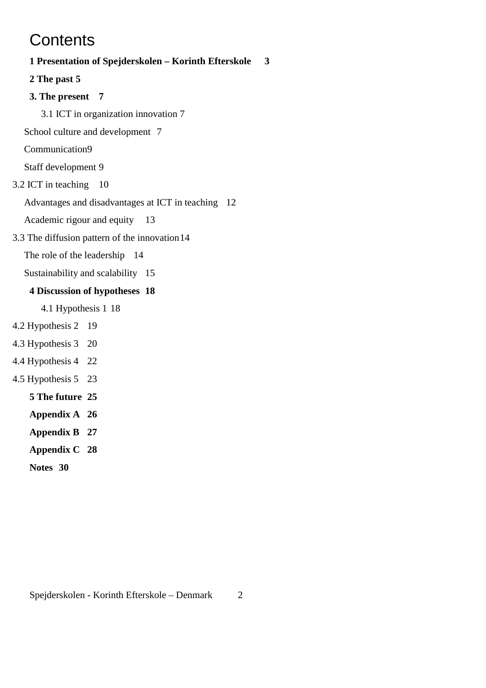# **Contents**

## **1 Presentation of Spejderskolen – Korinth Efterskole 3**

**2 The past 5**

### **3. The present 7**

3.1 ICT in organization innovation 7

School culture and development 7

Communication9

Staff development 9

3.2 ICT in teaching 10

Advantages and disadvantages at ICT in teaching 12

Academic rigour and equity 13

3.3 The diffusion pattern of the innovation14

The role of the leadership 14

Sustainability and scalability 15

## **4 Discussion of hypotheses 18**

4.1 Hypothesis 1 18

- 4.2 Hypothesis 2 19
- 4.3 Hypothesis 3 20
- 4.4 Hypothesis 4 22
- 4.5 Hypothesis 5 23
	- **5 The future 25**
	- **Appendix A 26**
	- **Appendix B 27**
	- **Appendix C 28**
	- **Notes 30**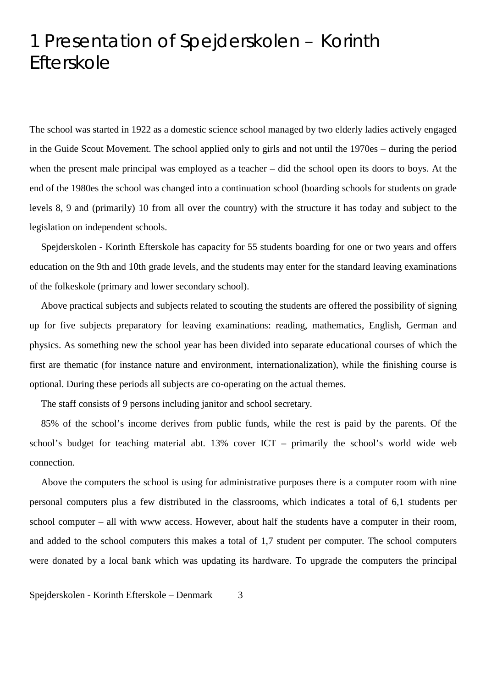# 1 Presentation of Spejderskolen – Korinth Efterskole

The school was started in 1922 as a domestic science school managed by two elderly ladies actively engaged in the Guide Scout Movement. The school applied only to girls and not until the 1970es – during the period when the present male principal was employed as a teacher – did the school open its doors to boys. At the end of the 1980es the school was changed into a continuation school (boarding schools for students on grade levels 8, 9 and (primarily) 10 from all over the country) with the structure it has today and subject to the legislation on independent schools.

Spejderskolen - Korinth Efterskole has capacity for 55 students boarding for one or two years and offers education on the 9th and 10th grade levels, and the students may enter for the standard leaving examinations of the folkeskole (primary and lower secondary school).

Above practical subjects and subjects related to scouting the students are offered the possibility of signing up for five subjects preparatory for leaving examinations: reading, mathematics, English, German and physics. As something new the school year has been divided into separate educational courses of which the first are thematic (for instance nature and environment, internationalization), while the finishing course is optional. During these periods all subjects are co-operating on the actual themes.

The staff consists of 9 persons including janitor and school secretary.

85% of the school's income derives from public funds, while the rest is paid by the parents. Of the school's budget for teaching material abt. 13% cover ICT – primarily the school's world wide web connection.

Above the computers the school is using for administrative purposes there is a computer room with nine personal computers plus a few distributed in the classrooms, which indicates a total of 6,1 students per school computer – all with www access. However, about half the students have a computer in their room, and added to the school computers this makes a total of 1,7 student per computer. The school computers were donated by a local bank which was updating its hardware. To upgrade the computers the principal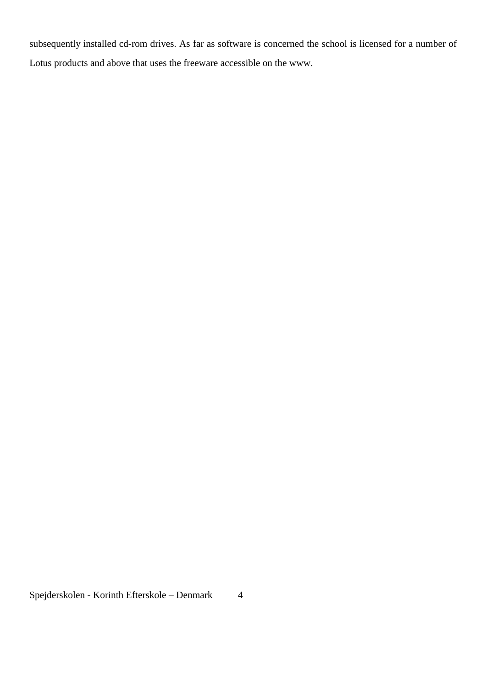subsequently installed cd-rom drives. As far as software is concerned the school is licensed for a number of Lotus products and above that uses the freeware accessible on the www.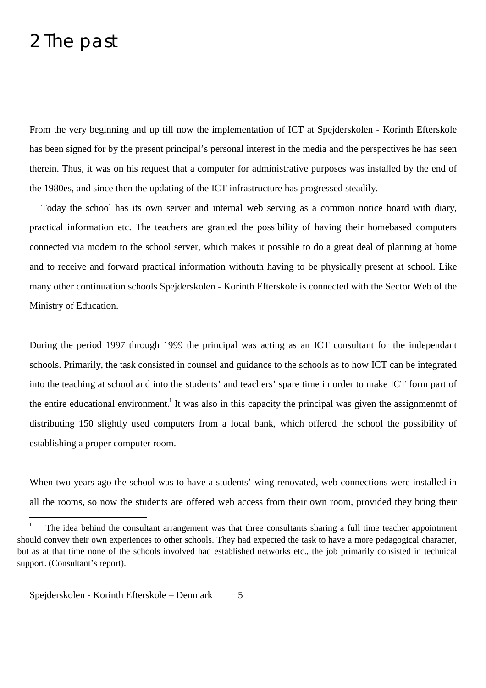# 2 The past

From the very beginning and up till now the implementation of ICT at Spejderskolen - Korinth Efterskole has been signed for by the present principal's personal interest in the media and the perspectives he has seen therein. Thus, it was on his request that a computer for administrative purposes was installed by the end of the 1980es, and since then the updating of the ICT infrastructure has progressed steadily.

Today the school has its own server and internal web serving as a common notice board with diary, practical information etc. The teachers are granted the possibility of having their homebased computers connected via modem to the school server, which makes it possible to do a great deal of planning at home and to receive and forward practical information withouth having to be physically present at school. Like many other continuation schools Spejderskolen - Korinth Efterskole is connected with the Sector Web of the Ministry of Education.

During the period 1997 through 1999 the principal was acting as an ICT consultant for the independant schools. Primarily, the task consisted in counsel and guidance to the schools as to how ICT can be integrated into the teaching at school and into the students' and teachers' spare time in order to make ICT form part of the entire educational environment.<sup>1</sup> It was also in this capacity the principal was given the assignmenmt of distributing 150 slightly used computers from a local bank, which offered the school the possibility of establishing a proper computer room.

When two years ago the school was to have a students' wing renovated, web connections were installed in all the rooms, so now the students are offered web access from their own room, provided they bring their

 $\mathbf{i}$ The idea behind the consultant arrangement was that three consultants sharing a full time teacher appointment should convey their own experiences to other schools. They had expected the task to have a more pedagogical character, but as at that time none of the schools involved had established networks etc., the job primarily consisted in technical support. (Consultant's report).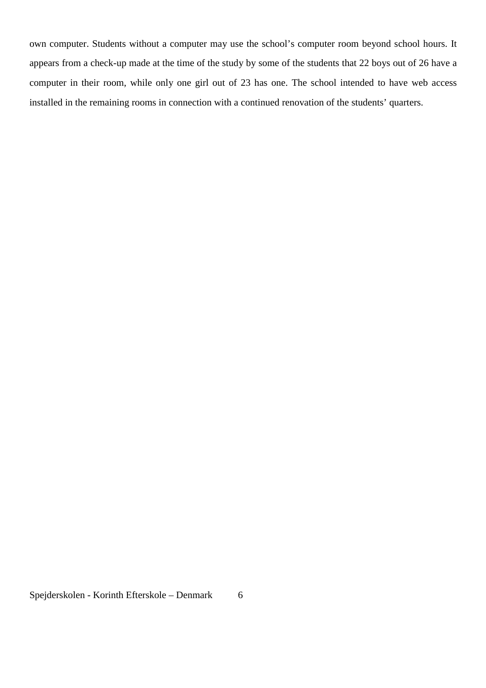own computer. Students without a computer may use the school's computer room beyond school hours. It appears from a check-up made at the time of the study by some of the students that 22 boys out of 26 have a computer in their room, while only one girl out of 23 has one. The school intended to have web access installed in the remaining rooms in connection with a continued renovation of the students' quarters.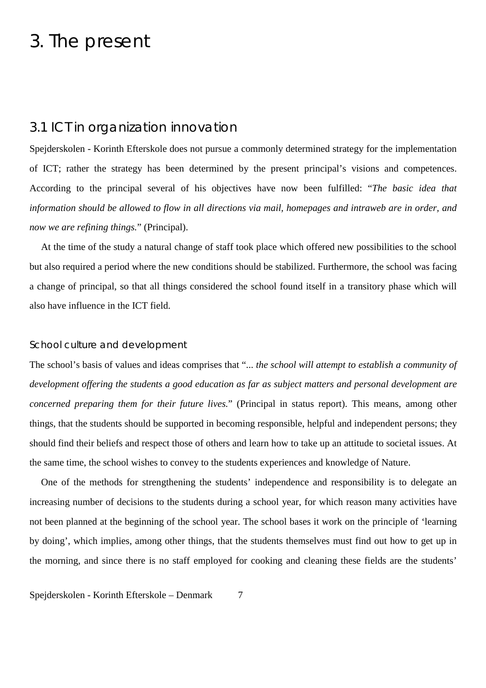## 3. The present

## 3.1 ICT in organization innovation

Spejderskolen - Korinth Efterskole does not pursue a commonly determined strategy for the implementation of ICT; rather the strategy has been determined by the present principal's visions and competences. According to the principal several of his objectives have now been fulfilled: "*The basic idea that information should be allowed to flow in all directions via mail, homepages and intraweb are in order, and now we are refining things.*" (Principal).

At the time of the study a natural change of staff took place which offered new possibilities to the school but also required a period where the new conditions should be stabilized. Furthermore, the school was facing a change of principal, so that all things considered the school found itself in a transitory phase which will also have influence in the ICT field.

#### School culture and development

The school's basis of values and ideas comprises that "... *the school will attempt to establish a community of development offering the students a good education as far as subject matters and personal development are concerned preparing them for their future lives.*" (Principal in status report). This means, among other things, that the students should be supported in becoming responsible, helpful and independent persons; they should find their beliefs and respect those of others and learn how to take up an attitude to societal issues. At the same time, the school wishes to convey to the students experiences and knowledge of Nature.

One of the methods for strengthening the students' independence and responsibility is to delegate an increasing number of decisions to the students during a school year, for which reason many activities have not been planned at the beginning of the school year. The school bases it work on the principle of 'learning by doing', which implies, among other things, that the students themselves must find out how to get up in the morning, and since there is no staff employed for cooking and cleaning these fields are the students'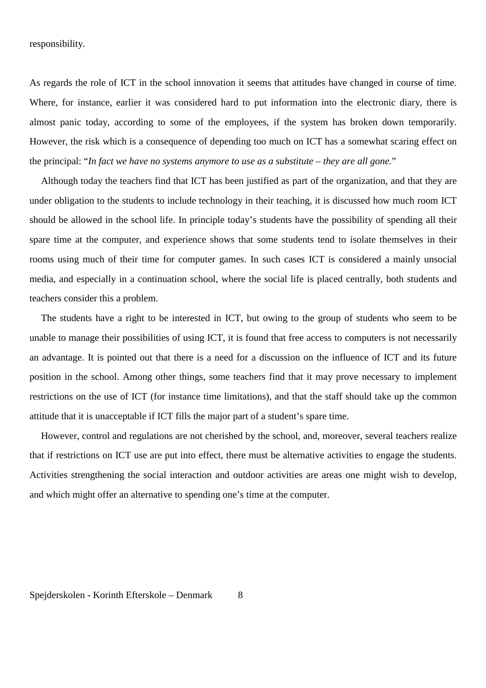responsibility.

As regards the role of ICT in the school innovation it seems that attitudes have changed in course of time. Where, for instance, earlier it was considered hard to put information into the electronic diary, there is almost panic today, according to some of the employees, if the system has broken down temporarily. However, the risk which is a consequence of depending too much on ICT has a somewhat scaring effect on the principal: "*In fact we have no systems anymore to use as a substitute – they are all gone.*"

Although today the teachers find that ICT has been justified as part of the organization, and that they are under obligation to the students to include technology in their teaching, it is discussed how much room ICT should be allowed in the school life. In principle today's students have the possibility of spending all their spare time at the computer, and experience shows that some students tend to isolate themselves in their rooms using much of their time for computer games. In such cases ICT is considered a mainly unsocial media, and especially in a continuation school, where the social life is placed centrally, both students and teachers consider this a problem.

The students have a right to be interested in ICT, but owing to the group of students who seem to be unable to manage their possibilities of using ICT, it is found that free access to computers is not necessarily an advantage. It is pointed out that there is a need for a discussion on the influence of ICT and its future position in the school. Among other things, some teachers find that it may prove necessary to implement restrictions on the use of ICT (for instance time limitations), and that the staff should take up the common attitude that it is unacceptable if ICT fills the major part of a student's spare time.

However, control and regulations are not cherished by the school, and, moreover, several teachers realize that if restrictions on ICT use are put into effect, there must be alternative activities to engage the students. Activities strengthening the social interaction and outdoor activities are areas one might wish to develop, and which might offer an alternative to spending one's time at the computer.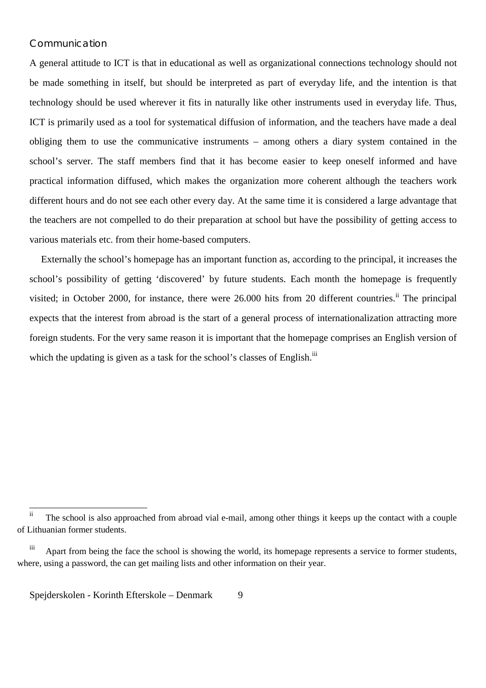#### Communication

A general attitude to ICT is that in educational as well as organizational connections technology should not be made something in itself, but should be interpreted as part of everyday life, and the intention is that technology should be used wherever it fits in naturally like other instruments used in everyday life. Thus, ICT is primarily used as a tool for systematical diffusion of information, and the teachers have made a deal obliging them to use the communicative instruments – among others a diary system contained in the school's server. The staff members find that it has become easier to keep oneself informed and have practical information diffused, which makes the organization more coherent although the teachers work different hours and do not see each other every day. At the same time it is considered a large advantage that the teachers are not compelled to do their preparation at school but have the possibility of getting access to various materials etc. from their home-based computers.

Externally the school's homepage has an important function as, according to the principal, it increases the school's possibility of getting 'discovered' by future students. Each month the homepage is frequently visited; in October 2000, for instance, there were 26.000 hits from 20 different countries.<sup>ii</sup> The principal expects that the interest from abroad is the start of a general process of internationalization attracting more foreign students. For the very same reason it is important that the homepage comprises an English version of which the updating is given as a task for the school's classes of English. $\overline{u}$ 

 $\mathbf{ii}$ The school is also approached from abroad vial e-mail, among other things it keeps up the contact with a couple of Lithuanian former students.

iii Apart from being the face the school is showing the world, its homepage represents a service to former students, where, using a password, the can get mailing lists and other information on their year.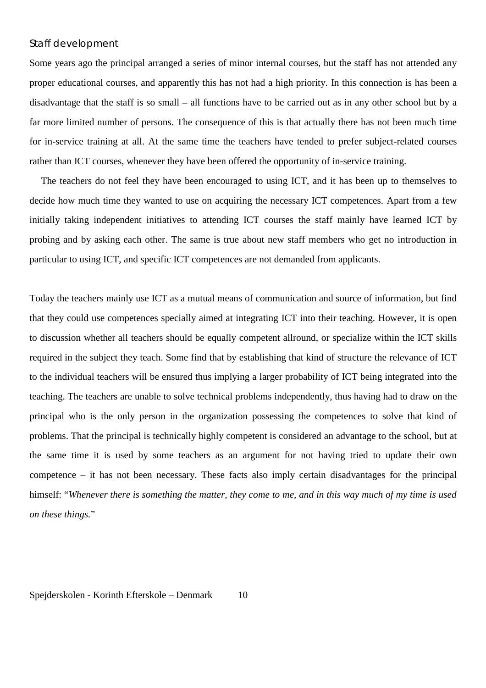#### Staff development

Some years ago the principal arranged a series of minor internal courses, but the staff has not attended any proper educational courses, and apparently this has not had a high priority. In this connection is has been a disadvantage that the staff is so small – all functions have to be carried out as in any other school but by a far more limited number of persons. The consequence of this is that actually there has not been much time for in-service training at all. At the same time the teachers have tended to prefer subject-related courses rather than ICT courses, whenever they have been offered the opportunity of in-service training.

The teachers do not feel they have been encouraged to using ICT, and it has been up to themselves to decide how much time they wanted to use on acquiring the necessary ICT competences. Apart from a few initially taking independent initiatives to attending ICT courses the staff mainly have learned ICT by probing and by asking each other. The same is true about new staff members who get no introduction in particular to using ICT, and specific ICT competences are not demanded from applicants.

Today the teachers mainly use ICT as a mutual means of communication and source of information, but find that they could use competences specially aimed at integrating ICT into their teaching. However, it is open to discussion whether all teachers should be equally competent allround, or specialize within the ICT skills required in the subject they teach. Some find that by establishing that kind of structure the relevance of ICT to the individual teachers will be ensured thus implying a larger probability of ICT being integrated into the teaching. The teachers are unable to solve technical problems independently, thus having had to draw on the principal who is the only person in the organization possessing the competences to solve that kind of problems. That the principal is technically highly competent is considered an advantage to the school, but at the same time it is used by some teachers as an argument for not having tried to update their own competence – it has not been necessary. These facts also imply certain disadvantages for the principal himself: "*Whenever there is something the matter, they come to me, and in this way much of my time is used on these things.*"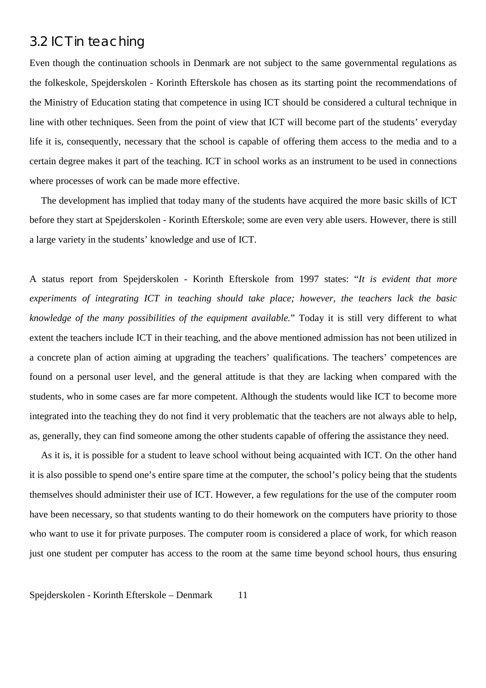## 3.2 ICT in teaching

Even though the continuation schools in Denmark are not subject to the same governmental regulations as the folkeskole, Spejderskolen - Korinth Efterskole has chosen as its starting point the recommendations of the Ministry of Education stating that competence in using ICT should be considered a cultural technique in line with other techniques. Seen from the point of view that ICT will become part of the students' everyday life it is, consequently, necessary that the school is capable of offering them access to the media and to a certain degree makes it part of the teaching. ICT in school works as an instrument to be used in connections where processes of work can be made more effective.

The development has implied that today many of the students have acquired the more basic skills of ICT before they start at Spejderskolen - Korinth Efterskole; some are even very able users. However, there is still a large variety in the students' knowledge and use of ICT.

A status report from Spejderskolen - Korinth Efterskole from 1997 states: "*It is evident that more experiments of integrating ICT in teaching should take place; however, the teachers lack the basic knowledge of the many possibilities of the equipment available.*" Today it is still very different to what extent the teachers include ICT in their teaching, and the above mentioned admission has not been utilized in a concrete plan of action aiming at upgrading the teachers' qualifications. The teachers' competences are found on a personal user level, and the general attitude is that they are lacking when compared with the students, who in some cases are far more competent. Although the students would like ICT to become more integrated into the teaching they do not find it very problematic that the teachers are not always able to help, as, generally, they can find someone among the other students capable of offering the assistance they need.

As it is, it is possible for a student to leave school without being acquainted with ICT. On the other hand it is also possible to spend one's entire spare time at the computer, the school's policy being that the students themselves should administer their use of ICT. However, a few regulations for the use of the computer room have been necessary, so that students wanting to do their homework on the computers have priority to those who want to use it for private purposes. The computer room is considered a place of work, for which reason just one student per computer has access to the room at the same time beyond school hours, thus ensuring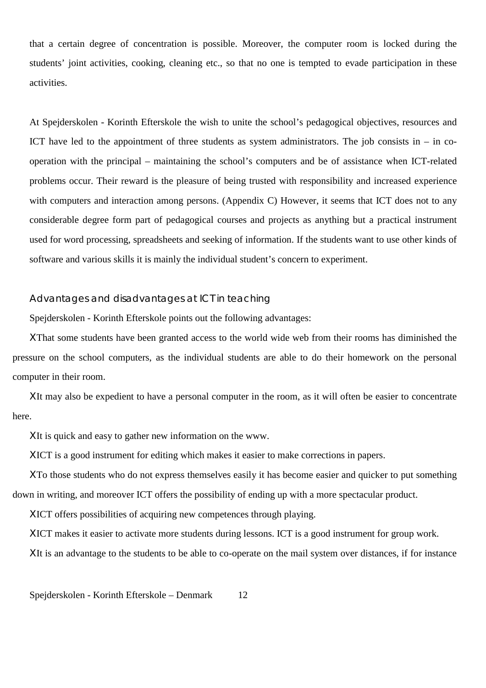that a certain degree of concentration is possible. Moreover, the computer room is locked during the students' joint activities, cooking, cleaning etc., so that no one is tempted to evade participation in these activities.

At Spejderskolen - Korinth Efterskole the wish to unite the school's pedagogical objectives, resources and ICT have led to the appointment of three students as system administrators. The job consists in  $-$  in cooperation with the principal – maintaining the school's computers and be of assistance when ICT-related problems occur. Their reward is the pleasure of being trusted with responsibility and increased experience with computers and interaction among persons. (Appendix C) However, it seems that ICT does not to any considerable degree form part of pedagogical courses and projects as anything but a practical instrument used for word processing, spreadsheets and seeking of information. If the students want to use other kinds of software and various skills it is mainly the individual student's concern to experiment.

#### Advantages and disadvantages at ICT in teaching

Spejderskolen - Korinth Efterskole points out the following advantages:

ΧThat some students have been granted access to the world wide web from their rooms has diminished the pressure on the school computers, as the individual students are able to do their homework on the personal computer in their room.

ΧIt may also be expedient to have a personal computer in the room, as it will often be easier to concentrate here.

ΧIt is quick and easy to gather new information on the www.

ΧICT is a good instrument for editing which makes it easier to make corrections in papers.

ΧTo those students who do not express themselves easily it has become easier and quicker to put something down in writing, and moreover ICT offers the possibility of ending up with a more spectacular product.

ΧICT offers possibilities of acquiring new competences through playing.

ΧICT makes it easier to activate more students during lessons. ICT is a good instrument for group work.

ΧIt is an advantage to the students to be able to co-operate on the mail system over distances, if for instance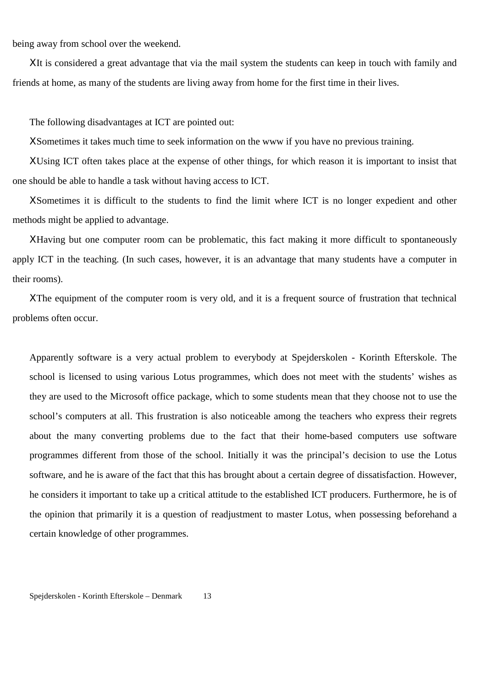being away from school over the weekend.

ΧIt is considered a great advantage that via the mail system the students can keep in touch with family and friends at home, as many of the students are living away from home for the first time in their lives.

The following disadvantages at ICT are pointed out:

ΧSometimes it takes much time to seek information on the www if you have no previous training.

ΧUsing ICT often takes place at the expense of other things, for which reason it is important to insist that one should be able to handle a task without having access to ICT.

ΧSometimes it is difficult to the students to find the limit where ICT is no longer expedient and other methods might be applied to advantage.

ΧHaving but one computer room can be problematic, this fact making it more difficult to spontaneously apply ICT in the teaching. (In such cases, however, it is an advantage that many students have a computer in their rooms).

ΧThe equipment of the computer room is very old, and it is a frequent source of frustration that technical problems often occur.

Apparently software is a very actual problem to everybody at Spejderskolen - Korinth Efterskole. The school is licensed to using various Lotus programmes, which does not meet with the students' wishes as they are used to the Microsoft office package, which to some students mean that they choose not to use the school's computers at all. This frustration is also noticeable among the teachers who express their regrets about the many converting problems due to the fact that their home-based computers use software programmes different from those of the school. Initially it was the principal's decision to use the Lotus software, and he is aware of the fact that this has brought about a certain degree of dissatisfaction. However, he considers it important to take up a critical attitude to the established ICT producers. Furthermore, he is of the opinion that primarily it is a question of readjustment to master Lotus, when possessing beforehand a certain knowledge of other programmes.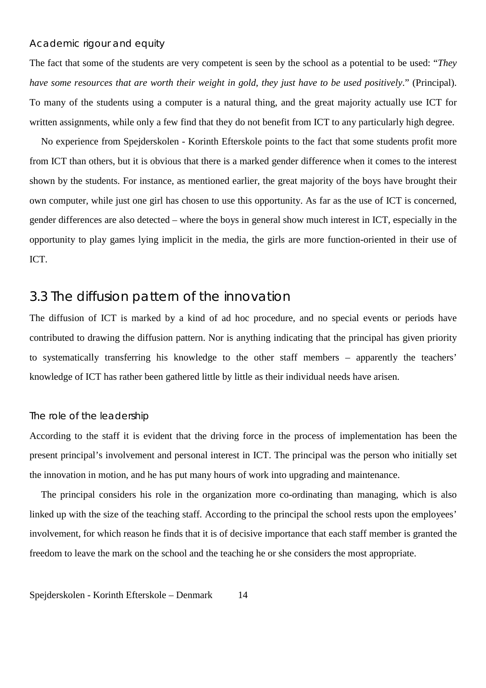#### Academic rigour and equity

The fact that some of the students are very competent is seen by the school as a potential to be used: "*They have some resources that are worth their weight in gold, they just have to be used positively*." (Principal). To many of the students using a computer is a natural thing, and the great majority actually use ICT for written assignments, while only a few find that they do not benefit from ICT to any particularly high degree.

No experience from Spejderskolen - Korinth Efterskole points to the fact that some students profit more from ICT than others, but it is obvious that there is a marked gender difference when it comes to the interest shown by the students. For instance, as mentioned earlier, the great majority of the boys have brought their own computer, while just one girl has chosen to use this opportunity. As far as the use of ICT is concerned, gender differences are also detected – where the boys in general show much interest in ICT, especially in the opportunity to play games lying implicit in the media, the girls are more function-oriented in their use of ICT.

## 3.3 The diffusion pattern of the innovation

The diffusion of ICT is marked by a kind of ad hoc procedure, and no special events or periods have contributed to drawing the diffusion pattern. Nor is anything indicating that the principal has given priority to systematically transferring his knowledge to the other staff members – apparently the teachers' knowledge of ICT has rather been gathered little by little as their individual needs have arisen.

#### The role of the leadership

According to the staff it is evident that the driving force in the process of implementation has been the present principal's involvement and personal interest in ICT. The principal was the person who initially set the innovation in motion, and he has put many hours of work into upgrading and maintenance.

The principal considers his role in the organization more co-ordinating than managing, which is also linked up with the size of the teaching staff. According to the principal the school rests upon the employees' involvement, for which reason he finds that it is of decisive importance that each staff member is granted the freedom to leave the mark on the school and the teaching he or she considers the most appropriate.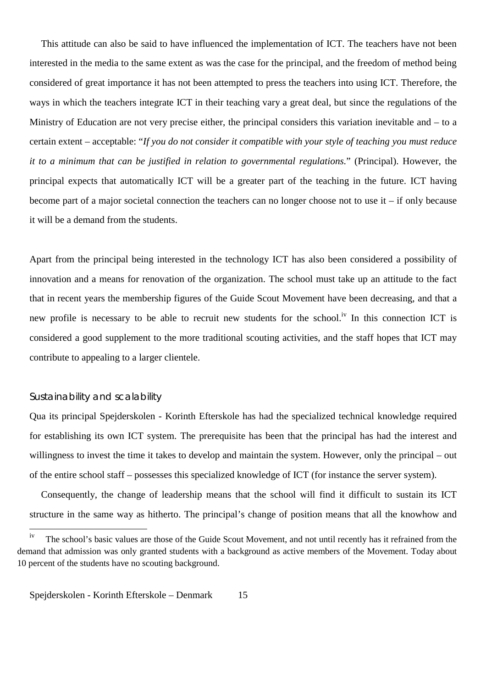This attitude can also be said to have influenced the implementation of ICT. The teachers have not been interested in the media to the same extent as was the case for the principal, and the freedom of method being considered of great importance it has not been attempted to press the teachers into using ICT. Therefore, the ways in which the teachers integrate ICT in their teaching vary a great deal, but since the regulations of the Ministry of Education are not very precise either, the principal considers this variation inevitable and – to a certain extent – acceptable: "*If you do not consider it compatible with your style of teaching you must reduce it to a minimum that can be justified in relation to governmental regulations.*" (Principal). However, the principal expects that automatically ICT will be a greater part of the teaching in the future. ICT having become part of a major societal connection the teachers can no longer choose not to use it – if only because it will be a demand from the students.

Apart from the principal being interested in the technology ICT has also been considered a possibility of innovation and a means for renovation of the organization. The school must take up an attitude to the fact that in recent years the membership figures of the Guide Scout Movement have been decreasing, and that a new profile is necessary to be able to recruit new students for the school.<sup>iv</sup> In this connection ICT is considered a good supplement to the more traditional scouting activities, and the staff hopes that ICT may contribute to appealing to a larger clientele.

#### Sustainability and scalability

Qua its principal Spejderskolen - Korinth Efterskole has had the specialized technical knowledge required for establishing its own ICT system. The prerequisite has been that the principal has had the interest and willingness to invest the time it takes to develop and maintain the system. However, only the principal – out of the entire school staff – possesses this specialized knowledge of ICT (for instance the server system).

Consequently, the change of leadership means that the school will find it difficult to sustain its ICT structure in the same way as hitherto. The principal's change of position means that all the knowhow and

 $iv$ The school's basic values are those of the Guide Scout Movement, and not until recently has it refrained from the demand that admission was only granted students with a background as active members of the Movement. Today about 10 percent of the students have no scouting background.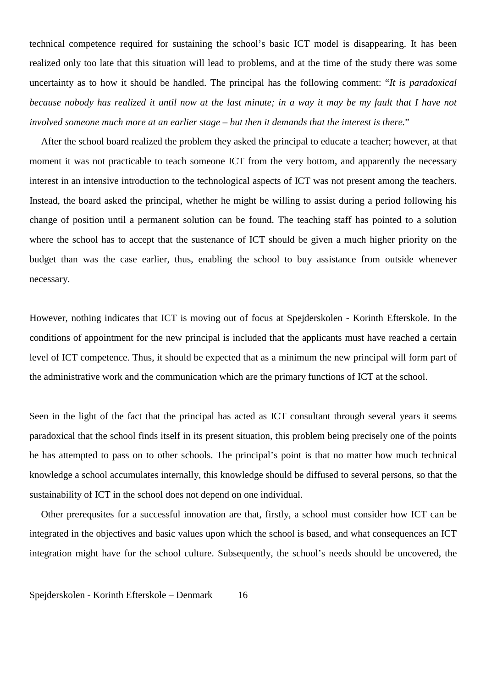technical competence required for sustaining the school's basic ICT model is disappearing. It has been realized only too late that this situation will lead to problems, and at the time of the study there was some uncertainty as to how it should be handled. The principal has the following comment: "*It is paradoxical because nobody has realized it until now at the last minute; in a way it may be my fault that I have not involved someone much more at an earlier stage – but then it demands that the interest is there.*"

After the school board realized the problem they asked the principal to educate a teacher; however, at that moment it was not practicable to teach someone ICT from the very bottom, and apparently the necessary interest in an intensive introduction to the technological aspects of ICT was not present among the teachers. Instead, the board asked the principal, whether he might be willing to assist during a period following his change of position until a permanent solution can be found. The teaching staff has pointed to a solution where the school has to accept that the sustenance of ICT should be given a much higher priority on the budget than was the case earlier, thus, enabling the school to buy assistance from outside whenever necessary.

However, nothing indicates that ICT is moving out of focus at Spejderskolen - Korinth Efterskole. In the conditions of appointment for the new principal is included that the applicants must have reached a certain level of ICT competence. Thus, it should be expected that as a minimum the new principal will form part of the administrative work and the communication which are the primary functions of ICT at the school.

Seen in the light of the fact that the principal has acted as ICT consultant through several years it seems paradoxical that the school finds itself in its present situation, this problem being precisely one of the points he has attempted to pass on to other schools. The principal's point is that no matter how much technical knowledge a school accumulates internally, this knowledge should be diffused to several persons, so that the sustainability of ICT in the school does not depend on one individual.

Other prerequsites for a successful innovation are that, firstly, a school must consider how ICT can be integrated in the objectives and basic values upon which the school is based, and what consequences an ICT integration might have for the school culture. Subsequently, the school's needs should be uncovered, the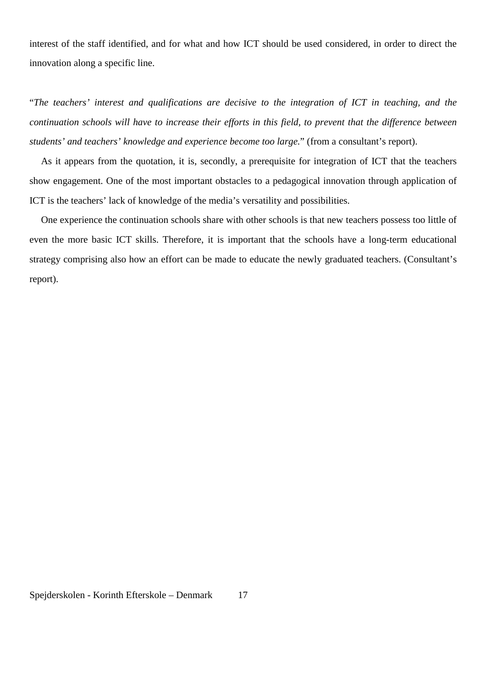interest of the staff identified, and for what and how ICT should be used considered, in order to direct the innovation along a specific line.

"*The teachers' interest and qualifications are decisive to the integration of ICT in teaching, and the continuation schools will have to increase their efforts in this field, to prevent that the difference between students' and teachers' knowledge and experience become too large.*" (from a consultant's report).

As it appears from the quotation, it is, secondly, a prerequisite for integration of ICT that the teachers show engagement. One of the most important obstacles to a pedagogical innovation through application of ICT is the teachers' lack of knowledge of the media's versatility and possibilities.

One experience the continuation schools share with other schools is that new teachers possess too little of even the more basic ICT skills. Therefore, it is important that the schools have a long-term educational strategy comprising also how an effort can be made to educate the newly graduated teachers. (Consultant's report).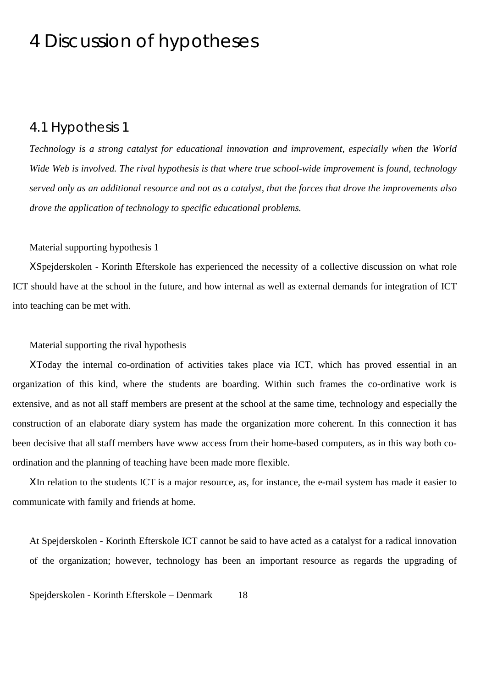# 4 Discussion of hypotheses

## 4.1 Hypothesis 1

*Technology is a strong catalyst for educational innovation and improvement, especially when the World Wide Web is involved. The rival hypothesis is that where true school-wide improvement is found, technology served only as an additional resource and not as a catalyst, that the forces that drove the improvements also drove the application of technology to specific educational problems.*

#### Material supporting hypothesis 1

ΧSpejderskolen - Korinth Efterskole has experienced the necessity of a collective discussion on what role ICT should have at the school in the future, and how internal as well as external demands for integration of ICT into teaching can be met with.

#### Material supporting the rival hypothesis

ΧToday the internal co-ordination of activities takes place via ICT, which has proved essential in an organization of this kind, where the students are boarding. Within such frames the co-ordinative work is extensive, and as not all staff members are present at the school at the same time, technology and especially the construction of an elaborate diary system has made the organization more coherent. In this connection it has been decisive that all staff members have www access from their home-based computers, as in this way both coordination and the planning of teaching have been made more flexible.

ΧIn relation to the students ICT is a major resource, as, for instance, the e-mail system has made it easier to communicate with family and friends at home.

At Spejderskolen - Korinth Efterskole ICT cannot be said to have acted as a catalyst for a radical innovation of the organization; however, technology has been an important resource as regards the upgrading of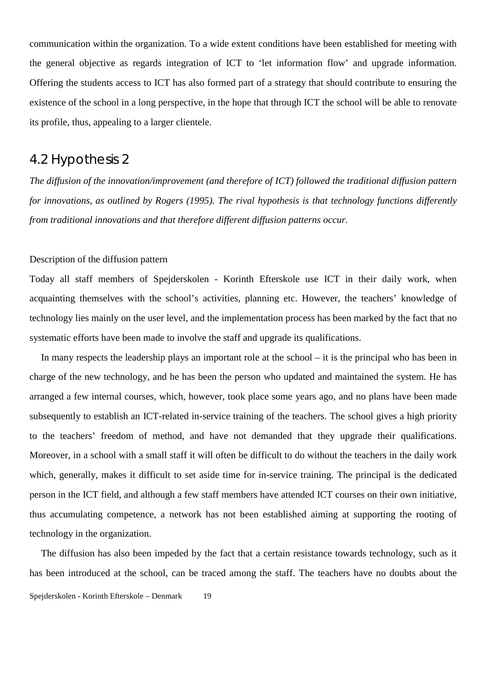communication within the organization. To a wide extent conditions have been established for meeting with the general objective as regards integration of ICT to 'let information flow' and upgrade information. Offering the students access to ICT has also formed part of a strategy that should contribute to ensuring the existence of the school in a long perspective, in the hope that through ICT the school will be able to renovate its profile, thus, appealing to a larger clientele.

## 4.2 Hypothesis 2

*The diffusion of the innovation/improvement (and therefore of ICT) followed the traditional diffusion pattern for innovations, as outlined by Rogers (1995). The rival hypothesis is that technology functions differently from traditional innovations and that therefore different diffusion patterns occur.*

#### Description of the diffusion pattern

Today all staff members of Spejderskolen - Korinth Efterskole use ICT in their daily work, when acquainting themselves with the school's activities, planning etc. However, the teachers' knowledge of technology lies mainly on the user level, and the implementation process has been marked by the fact that no systematic efforts have been made to involve the staff and upgrade its qualifications.

In many respects the leadership plays an important role at the school – it is the principal who has been in charge of the new technology, and he has been the person who updated and maintained the system. He has arranged a few internal courses, which, however, took place some years ago, and no plans have been made subsequently to establish an ICT-related in-service training of the teachers. The school gives a high priority to the teachers' freedom of method, and have not demanded that they upgrade their qualifications. Moreover, in a school with a small staff it will often be difficult to do without the teachers in the daily work which, generally, makes it difficult to set aside time for in-service training. The principal is the dedicated person in the ICT field, and although a few staff members have attended ICT courses on their own initiative, thus accumulating competence, a network has not been established aiming at supporting the rooting of technology in the organization.

Spejderskolen - Korinth Efterskole – Denmark 19 The diffusion has also been impeded by the fact that a certain resistance towards technology, such as it has been introduced at the school, can be traced among the staff. The teachers have no doubts about the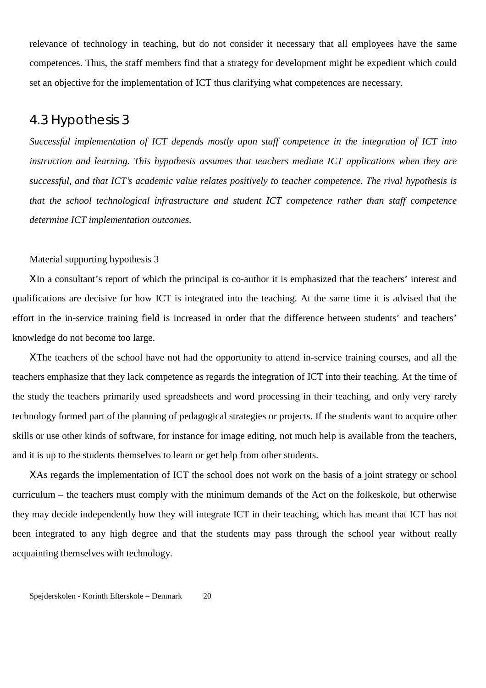relevance of technology in teaching, but do not consider it necessary that all employees have the same competences. Thus, the staff members find that a strategy for development might be expedient which could set an objective for the implementation of ICT thus clarifying what competences are necessary.

## 4.3 Hypothesis 3

*Successful implementation of ICT depends mostly upon staff competence in the integration of ICT into instruction and learning. This hypothesis assumes that teachers mediate ICT applications when they are successful, and that ICT's academic value relates positively to teacher competence. The rival hypothesis is that the school technological infrastructure and student ICT competence rather than staff competence determine ICT implementation outcomes.*

#### Material supporting hypothesis 3

ΧIn a consultant's report of which the principal is co-author it is emphasized that the teachers' interest and qualifications are decisive for how ICT is integrated into the teaching. At the same time it is advised that the effort in the in-service training field is increased in order that the difference between students' and teachers' knowledge do not become too large.

ΧThe teachers of the school have not had the opportunity to attend in-service training courses, and all the teachers emphasize that they lack competence as regards the integration of ICT into their teaching. At the time of the study the teachers primarily used spreadsheets and word processing in their teaching, and only very rarely technology formed part of the planning of pedagogical strategies or projects. If the students want to acquire other skills or use other kinds of software, for instance for image editing, not much help is available from the teachers, and it is up to the students themselves to learn or get help from other students.

ΧAs regards the implementation of ICT the school does not work on the basis of a joint strategy or school curriculum – the teachers must comply with the minimum demands of the Act on the folkeskole, but otherwise they may decide independently how they will integrate ICT in their teaching, which has meant that ICT has not been integrated to any high degree and that the students may pass through the school year without really acquainting themselves with technology.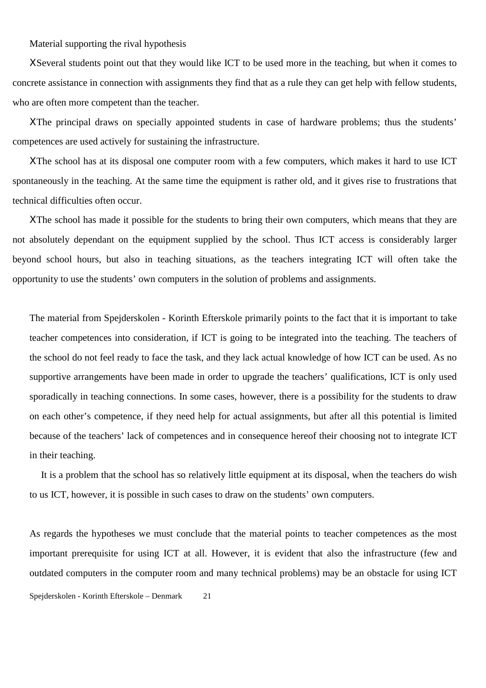Material supporting the rival hypothesis

ΧSeveral students point out that they would like ICT to be used more in the teaching, but when it comes to concrete assistance in connection with assignments they find that as a rule they can get help with fellow students, who are often more competent than the teacher.

ΧThe principal draws on specially appointed students in case of hardware problems; thus the students' competences are used actively for sustaining the infrastructure.

ΧThe school has at its disposal one computer room with a few computers, which makes it hard to use ICT spontaneously in the teaching. At the same time the equipment is rather old, and it gives rise to frustrations that technical difficulties often occur.

ΧThe school has made it possible for the students to bring their own computers, which means that they are not absolutely dependant on the equipment supplied by the school. Thus ICT access is considerably larger beyond school hours, but also in teaching situations, as the teachers integrating ICT will often take the opportunity to use the students' own computers in the solution of problems and assignments.

The material from Spejderskolen - Korinth Efterskole primarily points to the fact that it is important to take teacher competences into consideration, if ICT is going to be integrated into the teaching. The teachers of the school do not feel ready to face the task, and they lack actual knowledge of how ICT can be used. As no supportive arrangements have been made in order to upgrade the teachers' qualifications, ICT is only used sporadically in teaching connections. In some cases, however, there is a possibility for the students to draw on each other's competence, if they need help for actual assignments, but after all this potential is limited because of the teachers' lack of competences and in consequence hereof their choosing not to integrate ICT in their teaching.

It is a problem that the school has so relatively little equipment at its disposal, when the teachers do wish to us ICT, however, it is possible in such cases to draw on the students' own computers.

Spejderskolen - Korinth Efterskole – Denmark 21 As regards the hypotheses we must conclude that the material points to teacher competences as the most important prerequisite for using ICT at all. However, it is evident that also the infrastructure (few and outdated computers in the computer room and many technical problems) may be an obstacle for using ICT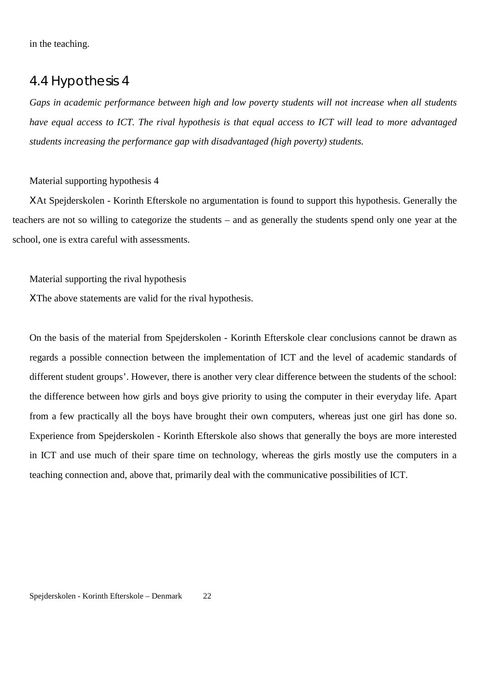in the teaching.

## 4.4 Hypothesis 4

*Gaps in academic performance between high and low poverty students will not increase when all students have equal access to ICT. The rival hypothesis is that equal access to ICT will lead to more advantaged students increasing the performance gap with disadvantaged (high poverty) students.*

#### Material supporting hypothesis 4

ΧAt Spejderskolen - Korinth Efterskole no argumentation is found to support this hypothesis. Generally the teachers are not so willing to categorize the students – and as generally the students spend only one year at the school, one is extra careful with assessments.

#### Material supporting the rival hypothesis

ΧThe above statements are valid for the rival hypothesis.

On the basis of the material from Spejderskolen - Korinth Efterskole clear conclusions cannot be drawn as regards a possible connection between the implementation of ICT and the level of academic standards of different student groups'. However, there is another very clear difference between the students of the school: the difference between how girls and boys give priority to using the computer in their everyday life. Apart from a few practically all the boys have brought their own computers, whereas just one girl has done so. Experience from Spejderskolen - Korinth Efterskole also shows that generally the boys are more interested in ICT and use much of their spare time on technology, whereas the girls mostly use the computers in a teaching connection and, above that, primarily deal with the communicative possibilities of ICT.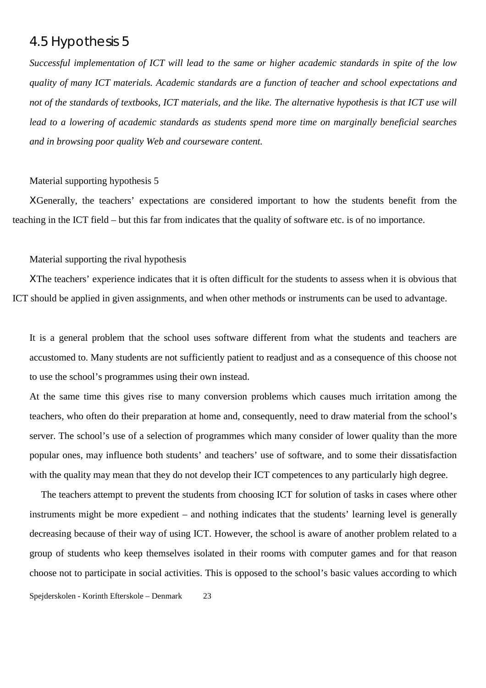## 4.5 Hypothesis 5

*Successful implementation of ICT will lead to the same or higher academic standards in spite of the low quality of many ICT materials. Academic standards are a function of teacher and school expectations and* not of the standards of textbooks, ICT materials, and the like. The alternative hypothesis is that ICT use will *lead to a lowering of academic standards as students spend more time on marginally beneficial searches and in browsing poor quality Web and courseware content.*

#### Material supporting hypothesis 5

ΧGenerally, the teachers' expectations are considered important to how the students benefit from the teaching in the ICT field – but this far from indicates that the quality of software etc. is of no importance.

#### Material supporting the rival hypothesis

ΧThe teachers' experience indicates that it is often difficult for the students to assess when it is obvious that ICT should be applied in given assignments, and when other methods or instruments can be used to advantage.

It is a general problem that the school uses software different from what the students and teachers are accustomed to. Many students are not sufficiently patient to readjust and as a consequence of this choose not to use the school's programmes using their own instead.

At the same time this gives rise to many conversion problems which causes much irritation among the teachers, who often do their preparation at home and, consequently, need to draw material from the school's server. The school's use of a selection of programmes which many consider of lower quality than the more popular ones, may influence both students' and teachers' use of software, and to some their dissatisfaction with the quality may mean that they do not develop their ICT competences to any particularly high degree.

The teachers attempt to prevent the students from choosing ICT for solution of tasks in cases where other instruments might be more expedient – and nothing indicates that the students' learning level is generally decreasing because of their way of using ICT. However, the school is aware of another problem related to a group of students who keep themselves isolated in their rooms with computer games and for that reason choose not to participate in social activities. This is opposed to the school's basic values according to which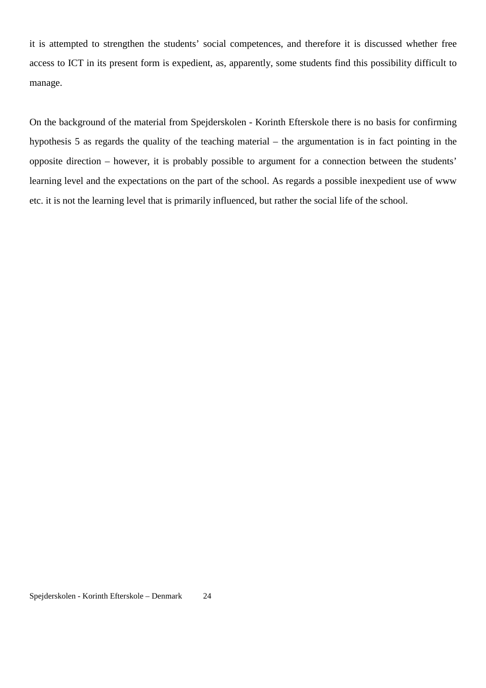it is attempted to strengthen the students' social competences, and therefore it is discussed whether free access to ICT in its present form is expedient, as, apparently, some students find this possibility difficult to manage.

On the background of the material from Spejderskolen - Korinth Efterskole there is no basis for confirming hypothesis 5 as regards the quality of the teaching material – the argumentation is in fact pointing in the opposite direction – however, it is probably possible to argument for a connection between the students' learning level and the expectations on the part of the school. As regards a possible inexpedient use of www etc. it is not the learning level that is primarily influenced, but rather the social life of the school.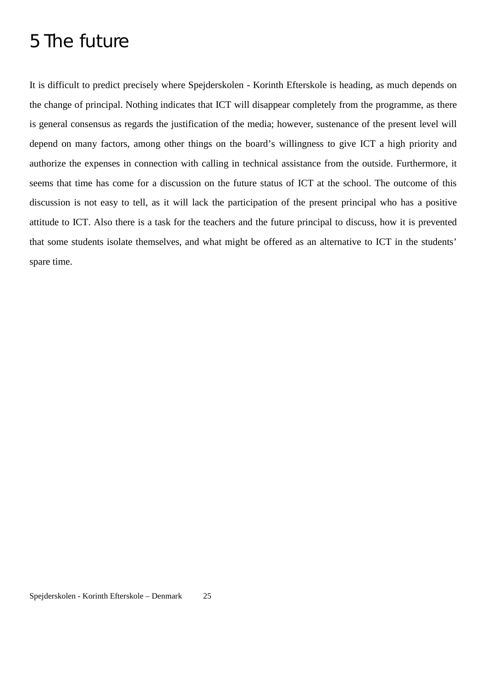# 5 The future

It is difficult to predict precisely where Spejderskolen - Korinth Efterskole is heading, as much depends on the change of principal. Nothing indicates that ICT will disappear completely from the programme, as there is general consensus as regards the justification of the media; however, sustenance of the present level will depend on many factors, among other things on the board's willingness to give ICT a high priority and authorize the expenses in connection with calling in technical assistance from the outside. Furthermore, it seems that time has come for a discussion on the future status of ICT at the school. The outcome of this discussion is not easy to tell, as it will lack the participation of the present principal who has a positive attitude to ICT. Also there is a task for the teachers and the future principal to discuss, how it is prevented that some students isolate themselves, and what might be offered as an alternative to ICT in the students' spare time.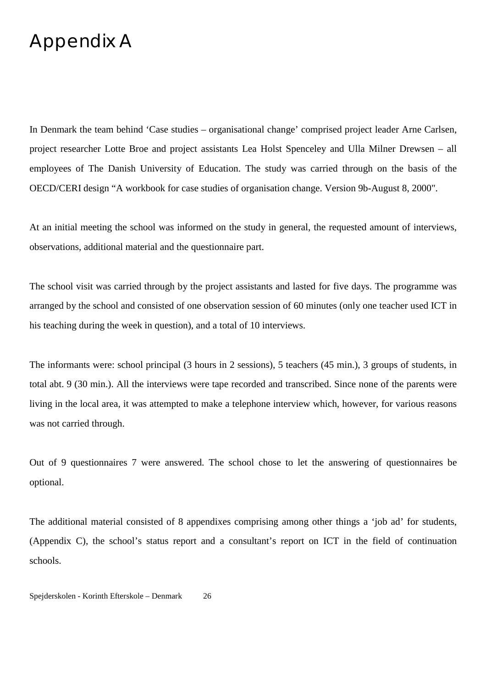# Appendix A

In Denmark the team behind 'Case studies – organisational change' comprised project leader Arne Carlsen, project researcher Lotte Broe and project assistants Lea Holst Spenceley and Ulla Milner Drewsen – all employees of The Danish University of Education. The study was carried through on the basis of the OECD/CERI design "A workbook for case studies of organisation change. Version 9b-August 8, 2000".

At an initial meeting the school was informed on the study in general, the requested amount of interviews, observations, additional material and the questionnaire part.

The school visit was carried through by the project assistants and lasted for five days. The programme was arranged by the school and consisted of one observation session of 60 minutes (only one teacher used ICT in his teaching during the week in question), and a total of 10 interviews.

The informants were: school principal (3 hours in 2 sessions), 5 teachers (45 min.), 3 groups of students, in total abt. 9 (30 min.). All the interviews were tape recorded and transcribed. Since none of the parents were living in the local area, it was attempted to make a telephone interview which, however, for various reasons was not carried through.

Out of 9 questionnaires 7 were answered. The school chose to let the answering of questionnaires be optional.

The additional material consisted of 8 appendixes comprising among other things a 'job ad' for students, (Appendix C), the school's status report and a consultant's report on ICT in the field of continuation schools.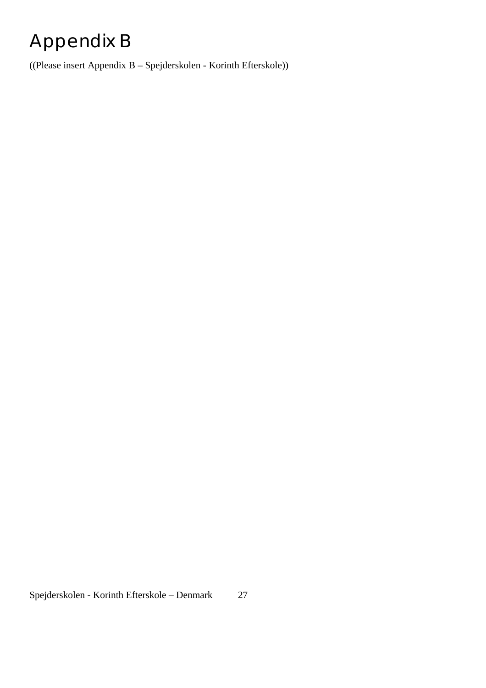# Appendix B

((Please insert Appendix B – Spejderskolen - Korinth Efterskole))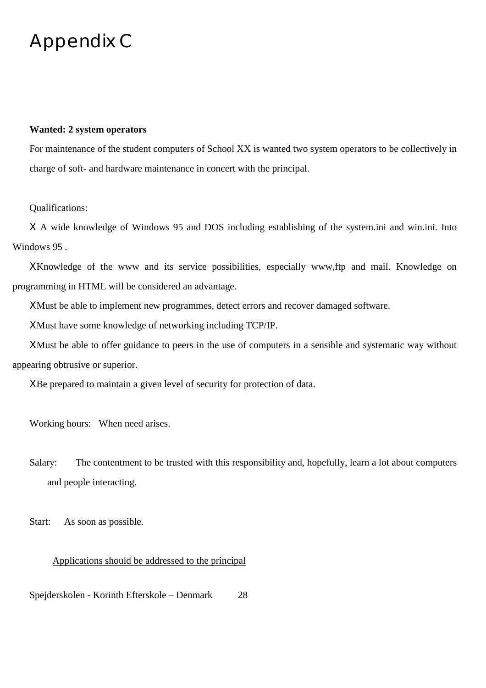# Appendix C

#### **Wanted: 2 system operators**

For maintenance of the student computers of School XX is wanted two system operators to be collectively in charge of soft- and hardware maintenance in concert with the principal.

#### Qualifications:

Χ A wide knowledge of Windows 95 and DOS including establishing of the system.ini and win.ini. Into Windows 95.

ΧKnowledge of the www and its service possibilities, especially www,ftp and mail. Knowledge on programming in HTML will be considered an advantage.

ΧMust be able to implement new programmes, detect errors and recover damaged software.

ΧMust have some knowledge of networking including TCP/IP.

ΧMust be able to offer guidance to peers in the use of computers in a sensible and systematic way without appearing obtrusive or superior.

ΧBe prepared to maintain a given level of security for protection of data.

Working hours: When need arises.

Salary: The contentment to be trusted with this responsibility and, hopefully, learn a lot about computers and people interacting.

Start: As soon as possible.

#### Applications should be addressed to the principal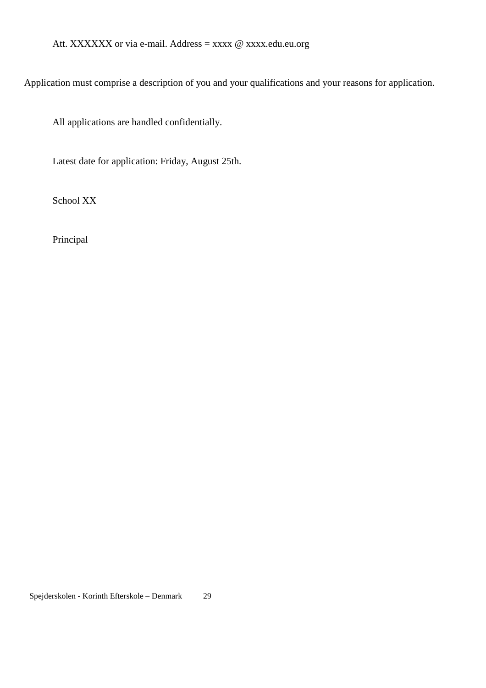Att. XXXXXX or via e-mail. Address = xxxx @ xxxx.edu.eu.org

Application must comprise a description of you and your qualifications and your reasons for application.

All applications are handled confidentially.

Latest date for application: Friday, August 25th.

School XX

Principal